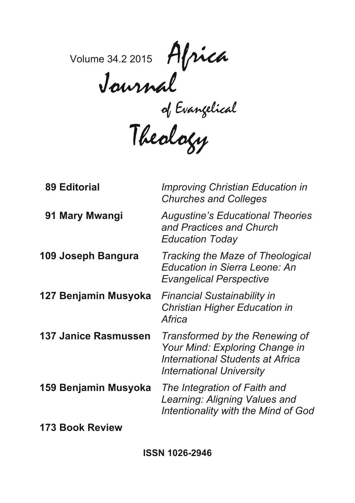Volume 34.2 2015 Africa Journal

of Evangelical

Theology

| <b>89 Editorial</b>         | <b>Improving Christian Education in</b><br><b>Churches and Colleges</b>                                                                 |
|-----------------------------|-----------------------------------------------------------------------------------------------------------------------------------------|
| 91 Mary Mwangi              | <b>Augustine's Educational Theories</b><br>and Practices and Church<br><b>Education Today</b>                                           |
| 109 Joseph Bangura          | Tracking the Maze of Theological<br>Education in Sierra Leone: An<br><b>Evangelical Perspective</b>                                     |
| 127 Benjamin Musyoka        | <b>Financial Sustainability in</b><br><b>Christian Higher Education in</b><br>Africa                                                    |
| <b>137 Janice Rasmussen</b> | Transformed by the Renewing of<br>Your Mind: Exploring Change in<br>International Students at Africa<br><b>International University</b> |
| 159 Benjamin Musyoka        | The Integration of Faith and<br>Learning: Aligning Values and<br>Intentionality with the Mind of God                                    |
| 173 Book Review             |                                                                                                                                         |

**ISSN 1026-2946**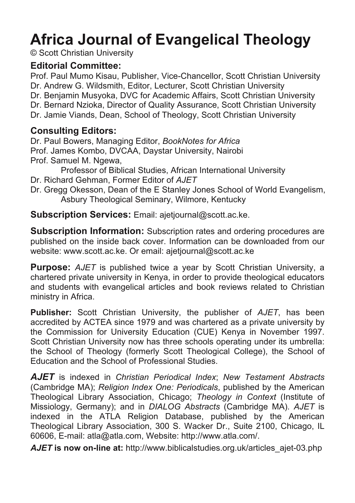# **Africa Journal of Evangelical Theology**

© Scott Christian University

# **Editorial Committee:**

Prof. Paul Mumo Kisau, Publisher, Vice-Chancellor, Scott Christian University Dr. Andrew G. Wildsmith, Editor, Lecturer, Scott Christian University Dr. Benjamin Musyoka, DVC for Academic Affairs, Scott Christian University Dr. Bernard Nzioka, Director of Quality Assurance, Scott Christian University Dr. Jamie Viands, Dean, School of Theology, Scott Christian University

# **Consulting Editors:**

Dr. Paul Bowers, Managing Editor, *BookNotes for Africa* Prof. James Kombo, DVCAA, Daystar University, Nairobi Prof. Samuel M. Ngewa,

Professor of Biblical Studies, African International University

Dr. Richard Gehman, Former Editor of *AJET*

Dr. Gregg Okesson, Dean of the E Stanley Jones School of World Evangelism, Asbury Theological Seminary, Wilmore, Kentucky

**Subscription Services:** Email: ajetjournal@scott.ac.ke.

**Subscription Information:** Subscription rates and ordering procedures are published on the inside back cover. Information can be downloaded from our website: www.scott.ac.ke. Or email: ajetjournal@scott.ac.ke

**Purpose:** *AJET* is published twice a year by Scott Christian University, a chartered private university in Kenya, in order to provide theological educators and students with evangelical articles and book reviews related to Christian ministry in Africa.

**Publisher:** Scott Christian University, the publisher of *AJET*, has been accredited by ACTEA since 1979 and was chartered as a private university by the Commission for University Education (CUE) Kenya in November 1997. Scott Christian University now has three schools operating under its umbrella: the School of Theology (formerly Scott Theological College), the School of Education and the School of Professional Studies.

*AJET* is indexed in *Christian Periodical Index*; *New Testament Abstracts* (Cambridge MA); *Religion Index One: Periodicals*, published by the American Theological Library Association, Chicago; *Theology in Context* (Institute of Missiology, Germany); and in *DIALOG Abstracts* (Cambridge MA). *AJET* is indexed in the ATLA Religion Database, published by the American Theological Library Association, 300 S. Wacker Dr., Suite 2100, Chicago, IL 60606, E-mail: atla@atla.com, Website: http://www.atla.com/.

*AJET* **is now on-line at:** http://www.biblicalstudies.org.uk/articles\_ajet-03.php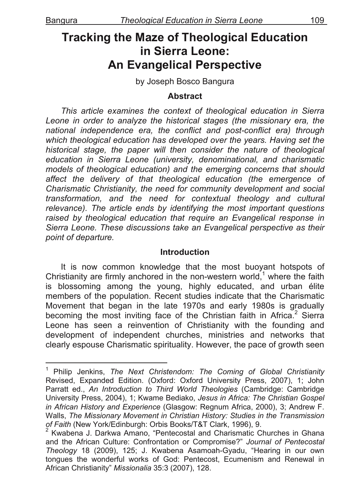# **Tracking the Maze of Theological Education in Sierra Leone: An Evangelical Perspective**

by Joseph Bosco Bangura

#### **Abstract**

*This article examines the context of theological education in Sierra Leone in order to analyze the historical stages (the missionary era, the national independence era, the conflict and post-conflict era) through which theological education has developed over the years. Having set the historical stage, the paper will then consider the nature of theological education in Sierra Leone (university, denominational, and charismatic models of theological education) and the emerging concerns that should affect the delivery of that theological education (the emergence of Charismatic Christianity, the need for community development and social transformation, and the need for contextual theology and cultural relevance). The article ends by identifying the most important questions raised by theological education that require an Evangelical response in Sierra Leone. These discussions take an Evangelical perspective as their point of departure.*

#### **Introduction**

It is now common knowledge that the most buoyant hotspots of Christianity are firmly anchored in the non-western world,<sup>1</sup> where the faith is blossoming among the young, highly educated, and urban élite members of the population. Recent studies indicate that the Charismatic Movement that began in the late 1970s and early 1980s is gradually becoming the most inviting face of the Christian faith in Africa. $2$  Sierra Leone has seen a reinvention of Christianity with the founding and development of independent churches, ministries and networks that clearly espouse Charismatic spirituality. However, the pace of growth seen

<sup>&</sup>lt;sup>1</sup> Philip Jenkins, The Next Christendom: The Coming of Global Christianity Revised, Expanded Edition. (Oxford: Oxford University Press, 2007), 1; John Parratt ed., *An Introduction to Third World Theologies* (Cambridge: Cambridge University Press, 2004), 1; Kwame Bediako, *Jesus in Africa: The Christian Gospel in African History and Experience* (Glasgow: Regnum Africa, 2000), 3; Andrew F. Walls, *The Missionary Movement in Christian History: Studies in the Transmission*  of Faith (New York/Edinburgh: Orbis Books/T&T Clark, 1996), 9.

 $2$  Kwabena J. Darkwa Amano, "Pentecostal and Charismatic Churches in Ghana and the African Culture: Confrontation or Compromise?" *Journal of Pentecostal Theology* 18 (2009), 125; J. Kwabena Asamoah-Gyadu, "Hearing in our own tongues the wonderful works of God: Pentecost, Ecumenism and Renewal in African Christianity" *Missionalia* 35:3 (2007), 128.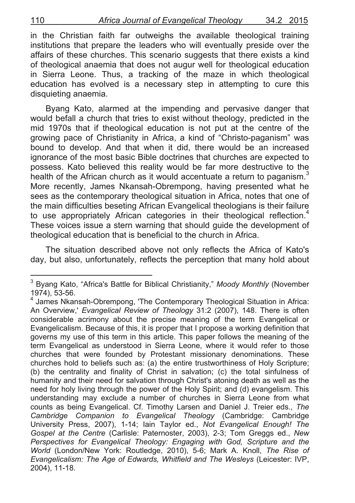in the Christian faith far outweighs the available theological training institutions that prepare the leaders who will eventually preside over the affairs of these churches. This scenario suggests that there exists a kind of theological anaemia that does not augur well for theological education in Sierra Leone. Thus, a tracking of the maze in which theological education has evolved is a necessary step in attempting to cure this disquieting anaemia.

Byang Kato, alarmed at the impending and pervasive danger that would befall a church that tries to exist without theology, predicted in the mid 1970s that if theological education is not put at the centre of the growing pace of Christianity in Africa, a kind of "Christo-paganism" was bound to develop. And that when it did, there would be an increased ignorance of the most basic Bible doctrines that churches are expected to possess. Kato believed this reality would be far more destructive to the health of the African church as it would accentuate a return to paganism. $3$ More recently, James Nkansah-Obrempong, having presented what he sees as the contemporary theological situation in Africa, notes that one of the main difficulties beseting African Evangelical theologians is their failure to use appropriately African categories in their theological reflection.<sup>4</sup> These voices issue a stern warning that should guide the development of theological education that is beneficial to the church in Africa.

The situation described above not only reflects the Africa of Kato's day, but also, unfortunately, reflects the perception that many hold about

enders<br>
<sup>3</sup> Byang Kato, "Africa's Battle for Biblical Christianity," *Moody Monthly* (November 1974), 53-56. <sup>4</sup>

 $4$  James Nkansah-Obrempong, 'The Contemporary Theological Situation in Africa: An Overview,' *Evangelical Review of Theology* 31:2 (2007), 148. There is often considerable acrimony about the precise meaning of the term Evangelical or Evangelicalism. Because of this, it is proper that I propose a working definition that governs my use of this term in this article. This paper follows the meaning of the term Evangelical as understood in Sierra Leone, where it would refer to those churches that were founded by Protestant missionary denominations. These churches hold to beliefs such as: (a) the entire trustworthiness of Holy Scripture; (b) the centrality and finality of Christ in salvation; (c) the total sinfulness of humanity and their need for salvation through Christ's atoning death as well as the need for holy living through the power of the Holy Spirit; and (d) evangelism. This understanding may exclude a number of churches in Sierra Leone from what counts as being Evangelical. Cf. Timothy Larsen and Daniel J. Treier eds., *The Cambridge Companion to Evangelical Theology* (Cambridge: Cambridge University Press, 2007), 1-14; Iain Taylor ed., *Not Evangelical Enough! The Gospel at the Centre* (Carlisle: Paternoster, 2003), 2-3; Tom Greggs ed., *New Perspectives for Evangelical Theology: Engaging with God, Scripture and the World* (London/New York: Routledge, 2010), 5-6; Mark A. Knoll, *The Rise of Evangelicalism: The Age of Edwards, Whitfield and The Wesleys* (Leicester: IVP, 2004), 11-18.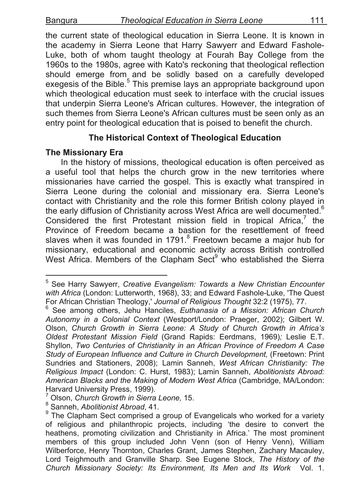the current state of theological education in Sierra Leone. It is known in the academy in Sierra Leone that Harry Sawyerr and Edward Fashole-Luke, both of whom taught theology at Fourah Bay College from the 1960s to the 1980s, agree with Kato's reckoning that theological reflection should emerge from and be solidly based on a carefully developed exegesis of the Bible.<sup>5</sup> This premise lays an appropriate background upon which theological education must seek to interface with the crucial issues that underpin Sierra Leone's African cultures. However, the integration of such themes from Sierra Leone's African cultures must be seen only as an entry point for theological education that is poised to benefit the church.

# **The Historical Context of Theological Education**

#### **The Missionary Era**

In the history of missions, theological education is often perceived as a useful tool that helps the church grow in the new territories where missionaries have carried the gospel. This is exactly what transpired in Sierra Leone during the colonial and missionary era. Sierra Leone's contact with Christianity and the role this former British colony played in the early diffusion of Christianity across West Africa are well documented.<sup>6</sup> Considered the first Protestant mission field in tropical Africa, $7$  the Province of Freedom became a bastion for the resettlement of freed slaves when it was founded in 1791.<sup>8</sup> Freetown became a major hub for missionary, educational and economic activity across British controlled West Africa. Members of the Clapham Sect<sup>9</sup> who established the Sierra

<sup>&</sup>lt;sup>5</sup> See Harry Sawyerr, Creative Evangelism: Towards a New Christian Encounter *with Africa* (London: Lutterworth, 1968), 33; and Edward Fashole-Luke, 'The Quest For African Christian Theology,' *Journal of Religious Thought* 32:2 (1975), 77.

See among others, Jehu Hanciles, *Euthanasia of a Mission: African Church Autonomy in a Colonial Context* (Westport/London: Praeger, 2002); Gilbert W. Olson, *Church Growth in Sierra Leone: A Study of Church Growth in Africa's Oldest Protestant Mission Field* (Grand Rapids: Eerdmans, 1969)*;* Leslie E.T. Shyllon, *Two Centuries of Christianity in an African Province of Freedom A Case Study of European Influence and Culture in Church Development,* (Freetown: Print Sundries and Stationers, 2008); Lamin Sanneh, *West African Christianity: The Religious Impact* (London: C. Hurst, 1983); Lamin Sanneh, *Abolitionists Abroad: American Blacks and the Making of Modern West Africa* (Cambridge, MA/London: Harvard University Press, 1999).<br><sup>7</sup> Olson, *Church Growth in Sierra Leone*, 15.

<sup>8</sup> Sibon, *Church Church Abroad*, 41.

<sup>&</sup>lt;sup>9</sup> The Clapham Sect comprised a group of Evangelicals who worked for a variety of religious and philanthropic projects, including 'the desire to convert the heathens, promoting civilization and Christianity in Africa.' The most prominent members of this group included John Venn (son of Henry Venn), William Wilberforce, Henry Thornton, Charles Grant, James Stephen, Zachary Macauley, Lord Teighmouth and Granville Sharp. See Eugene Stock, *The History of the Church Missionary Society: Its Environment, Its Men and Its Work* Vol. 1.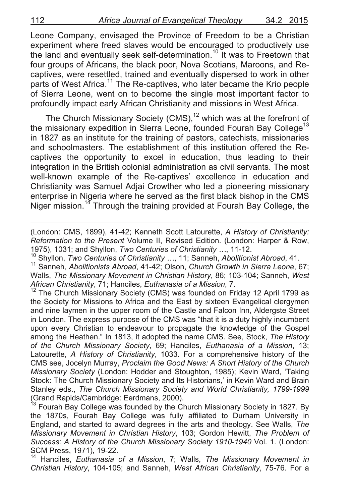Leone Company, envisaged the Province of Freedom to be a Christian experiment where freed slaves would be encouraged to productively use the land and eventually seek self-determination.<sup>10</sup> It was to Freetown that four groups of Africans, the black poor, Nova Scotians, Maroons, and Recaptives, were resettled, trained and eventually dispersed to work in other parts of West Africa.<sup>11</sup> The Re-captives, who later became the Krio people of Sierra Leone, went on to become the single most important factor to profoundly impact early African Christianity and missions in West Africa.

The Church Missionary Society (CMS),<sup>12</sup> which was at the forefront of the missionary expedition in Sierra Leone, founded Fourah Bay College<sup>13</sup> in 1827 as an institute for the training of pastors, catechists, missionaries and schoolmasters. The establishment of this institution offered the Recaptives the opportunity to excel in education, thus leading to their integration in the British colonial administration as civil servants. The most well-known example of the Re-captives' excellence in education and Christianity was Samuel Adjai Crowther who led a pioneering missionary enterprise in Nigeria where he served as the first black bishop in the CMS Niger mission.<sup>14</sup> Through the training provided at Fourah Bay College, the

(London: CMS, 1899), 41-42; Kenneth Scott Latourette, *A History of Christianity: Reformation to the Present* Volume II, Revised Edition. (London: Harper & Row, 1975), 1031; and Shyllon, Two Centuries of Christianity ..., 11-12.<br><sup>10</sup> Shyllon, Two Centuries of Christianity ..., 11; Sanneh, Abolitionist Abroad, 41.<br><sup>11</sup> Sanneh, Abolitionists Abroad, 41-42; Olson, Church Growth in Si

!!!!!!!!!!!!!!!!!!!!!!!!!!!!!!!!!!!!!!!!!!!!!!!!!!!!!!!!!!!!!!!!!!!!!!!!!!!!!!!!!!!!!!!!!!!!!!!!!!!!!!!!!!!!!!!!!!!!!!!!!!!!!!!!!!!!!!!

Walls, *The Missionary Movement in Christian History*, 86; 103-104; Sanneh, *West* 

*African Christianity*, 71; Hanciles, *Euthanasia of a Mission*, 7.<br><sup>12</sup> The Church Missionary Society (CMS) was founded on Friday 12 April 1799 as the Society for Missions to Africa and the East by sixteen Evangelical clergymen and nine laymen in the upper room of the Castle and Falcon Inn, Aldergste Street in London. The express purpose of the CMS was "that it is a duty highly incumbent upon every Christian to endeavour to propagate the knowledge of the Gospel among the Heathen." In 1813, it adopted the name CMS. See, Stock, *The History of the Church Missionary Society*, 69; Hanciles, *Euthanasia of a Mission*, 13; Latourette, *A History of Christianity*, 1033. For a comprehensive history of the CMS see, Jocelyn Murray, *Proclaim the Good News: A Short History of the Church Missionary Society* (London: Hodder and Stoughton, 1985); Kevin Ward, 'Taking Stock: The Church Missionary Society and Its Historians,' in Kevin Ward and Brain Stanley eds., *The Church Missionary Society and World Christianity, 1799-1999*<br>(Grand Rapids/Cambridge: Eerdmans, 2000).<br><sup>13</sup> Faurak Ray Cull

Fourah Bay College was founded by the Church Missionary Society in 1827. By the 1870s, Fourah Bay College was fully affiliated to Durham University in England, and started to award degrees in the arts and theology. See Walls, *The Missionary Movement in Christian History*, 103; Gordon Hewitt, *The Problem of Success: A History of the Church Missionary Society 1910-1940* Vol. 1. (London: SCM Press, 1971), 19-22.<br><sup>14</sup> Hanciles, *Euthanasia of a Mission*, 7; Walls, *The Missionary Movement in* 

*Christian History*, 104-105; and Sanneh, *West African Christianity*, 75-76. For a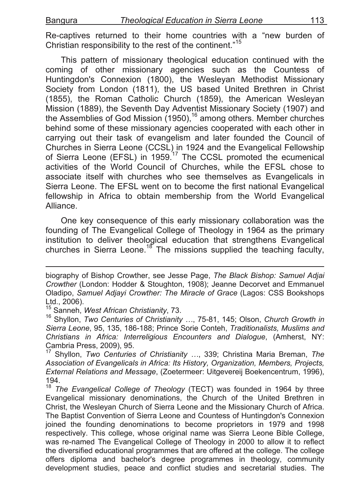Re-captives returned to their home countries with a "new burden of Christian responsibility to the rest of the continent."<sup>15</sup>

This pattern of missionary theological education continued with the coming of other missionary agencies such as the Countess of Huntingdon's Connexion (1800), the Wesleyan Methodist Missionary Society from London (1811), the US based United Brethren in Christ (1855), the Roman Catholic Church (1859), the American Wesleyan Mission (1889), the Seventh Day Adventist Missionary Society (1907) and the Assemblies of God Mission  $(1950)$ ,  $^{16}$  among others. Member churches behind some of these missionary agencies cooperated with each other in carrying out their task of evangelism and later founded the Council of Churches in Sierra Leone (CCSL) in 1924 and the Evangelical Fellowship of Sierra Leone (EFSL) in 1959.<sup>17</sup> The CCSL promoted the ecumenical activities of the World Council of Churches, while the EFSL chose to associate itself with churches who see themselves as Evangelicals in Sierra Leone. The EFSL went on to become the first national Evangelical fellowship in Africa to obtain membership from the World Evangelical Alliance.

One key consequence of this early missionary collaboration was the founding of The Evangelical College of Theology in 1964 as the primary institution to deliver theological education that strengthens Evangelical churches in Sierra Leone.<sup>18</sup> The missions supplied the teaching faculty,

!!!!!!!!!!!!!!!!!!!!!!!!!!!!!!!!!!!!!!!!!!!!!!!!!!!!!!!!!!!!!!!!!!!!!!!!!!!!!!!!!!!!!!!!!!!!!!!!!!!!!!!!!!!!!!!!!!!!!!!!!!!!!!!!!!!!!!!

<sup>17</sup> Shyllon, *Two Centuries of Christianity …*, 339; Christina Maria Breman, *The Association of Evangelicals in Africa: Its History, Organization, Members, Projects, External Relations and Message*, (Zoetermeer: Uitgevereij Boekencentrum, 1996), 194.

biography of Bishop Crowther, see Jesse Page, *The Black Bishop: Samuel Adjai Crowther* (London: Hodder & Stoughton, 1908); Jeanne Decorvet and Emmanuel Oladipo, *Samuel Adjayi Crowther: The Miracle of Grace* (Lagos: CSS Bookshops Ltd., 2006).<br><sup>15</sup> Sanneh, *West African Christianity*, 73.

<sup>15</sup> Sanneh, *West African Christianity*, 73. 16 Shyllon, *Two Centuries of Christianity …*, 75-81, 145; Olson, *Church Growth in Sierra Leone*, 95, 135, 186-188; Prince Sorie Conteh, *Traditionalists, Muslims and Christians in Africa: Interreligious Encounters and Dialogue*, (Amherst, NY: Cambria Press, 2009), 95.

<sup>18</sup> *The Evangelical College of Theology* (TECT) was founded in 1964 by three Evangelical missionary denominations, the Church of the United Brethren in Christ, the Wesleyan Church of Sierra Leone and the Missionary Church of Africa. The Baptist Convention of Sierra Leone and Countess of Huntingdon's Connexion joined the founding denominations to become proprietors in 1979 and 1998 respectively. This college, whose original name was Sierra Leone Bible College, was re-named The Evangelical College of Theology in 2000 to allow it to reflect the diversified educational programmes that are offered at the college. The college offers diploma and bachelor's degree programmes in theology, community development studies, peace and conflict studies and secretarial studies. The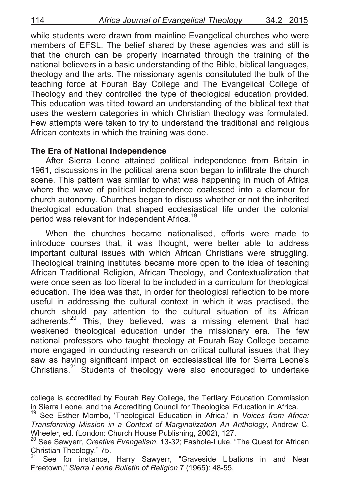while students were drawn from mainline Evangelical churches who were members of EFSL. The belief shared by these agencies was and still is that the church can be properly incarnated through the training of the national believers in a basic understanding of the Bible, biblical languages, theology and the arts. The missionary agents consitututed the bulk of the teaching force at Fourah Bay College and The Evangelical College of Theology and they controlled the type of theological education provided. This education was tilted toward an understanding of the biblical text that uses the western categories in which Christian theology was formulated. Few attempts were taken to try to understand the traditional and religious African contexts in which the training was done.

#### **The Era of National Independence**

After Sierra Leone attained political independence from Britain in 1961, discussions in the political arena soon began to infiltrate the church scene. This pattern was similar to what was happening in much of Africa where the wave of political independence coalesced into a clamour for church autonomy. Churches began to discuss whether or not the inherited theological education that shaped ecclesiastical life under the colonial period was relevant for independent Africa.<sup>19</sup>

When the churches became nationalised, efforts were made to introduce courses that, it was thought, were better able to address important cultural issues with which African Christians were struggling. Theological training institutes became more open to the idea of teaching African Traditional Religion, African Theology, and Contextualization that were once seen as too liberal to be included in a curriculum for theological education. The idea was that, in order for theological reflection to be more useful in addressing the cultural context in which it was practised, the church should pay attention to the cultural situation of its African adherents.<sup>20</sup> This, they believed, was a missing element that had weakened theological education under the missionary era. The few national professors who taught theology at Fourah Bay College became more engaged in conducting research on critical cultural issues that they saw as having significant impact on ecclesiastical life for Sierra Leone's Christians. $21$  Students of theology were also encouraged to undertake

<sup>!!!!!!!!!!!!!!!!!!!!!!!!!!!!!!!!!!!!!!!!!!!!!!!!!!!!!!!!!!!!!!!!!!!!!!!!!!!!!!!!!!!!!!!!!!!!!!!!!!!!!!!!!!!!!!!!!!!!!!!!!!!!!!!!!!!!!!!</sup> college is accredited by Fourah Bay College, the Tertiary Education Commission<br>in Sierra Leone, and the Accrediting Council for Theological Education in Africa.

<sup>&</sup>lt;sup>19</sup> See Esther Mombo, 'Theological Education in Africa,' in *Voices from Africa: Transforming Mission in a Context of Marginalization An Anthology*, Andrew C. Wheeler, ed. (London: Church House Publishing, 2002), 127.

<sup>20</sup> See Sawyerr, *Creative Evangelism*, 13-32; Fashole-Luke, "The Quest for African Christian Theology," 75.<br><sup>21</sup> See for instance, Harry Sawyerr, "Graveside Libations in and Near

Freetown," *Sierra Leone Bulletin of Religion* 7 (1965): 48-55.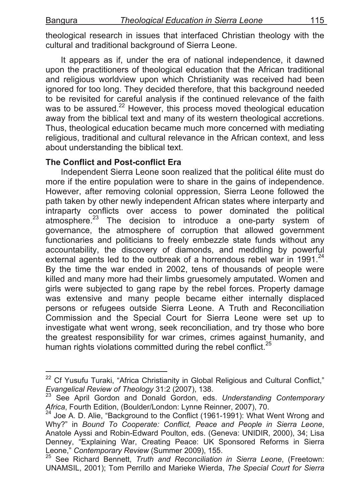theological research in issues that interfaced Christian theology with the cultural and traditional background of Sierra Leone.

It appears as if, under the era of national independence, it dawned upon the practitioners of theological education that the African traditional and religious worldview upon which Christianity was received had been ignored for too long. They decided therefore, that this background needed to be revisited for careful analysis if the continued relevance of the faith was to be assured.<sup>22</sup> However, this process moved theological education away from the biblical text and many of its western theological accretions. Thus, theological education became much more concerned with mediating religious, traditional and cultural relevance in the African context, and less about understanding the biblical text.

# **The Conflict and Post-conflict Era**

Independent Sierra Leone soon realized that the political élite must do more if the entire population were to share in the gains of independence. However, after removing colonial oppression, Sierra Leone followed the path taken by other newly independent African states where interparty and intraparty conflicts over access to power dominated the political atmosphere.<sup>23</sup> The decision to introduce a one-party system of governance, the atmosphere of corruption that allowed government functionaries and politicians to freely embezzle state funds without any accountability, the discovery of diamonds, and meddling by powerful external agents led to the outbreak of a horrendous rebel war in 1991. $^{24}$ By the time the war ended in 2002, tens of thousands of people were killed and many more had their limbs gruesomely amputated. Women and girls were subjected to gang rape by the rebel forces. Property damage was extensive and many people became either internally displaced persons or refugees outside Sierra Leone. A Truth and Reconciliation Commission and the Special Court for Sierra Leone were set up to investigate what went wrong, seek reconciliation, and try those who bore the greatest responsibility for war crimes, crimes against humanity, and human rights violations committed during the rebel conflict.<sup>25</sup>

<sup>&</sup>lt;sup>22</sup> Cf Yusufu Turaki, "Africa Christianity in Global Religious and Cultural Conflict,"<br>*E*vangelical Review of Theology 31:2 (2007), 138.

<sup>&</sup>lt;sup>23</sup> See April Gordon and Donald Gordon, eds. *Understanding Contemporary Africa*, Fourth Edition, (Boulder/London: Lynne Reinner, 2007), 70.

*Africa*, Fourth Edition, (Edition<br><sup>24</sup> Joe A. D. Alie, "Background to the Conflict (1961-1991): What Went Wrong and Why?" in *Bound To Cooperate: Conflict, Peace and People in Sierra Leone*, Anatole Ayssi and Robin-Edward Poulton, eds. (Geneva: UNIDIR, 2000), 34; Lisa Denney, "Explaining War, Creating Peace: UK Sponsored Reforms in Sierra Leone," Contemporary Review (Summer 2009), 155.

<sup>&</sup>lt;sup>25</sup> See Richard Bennett, *Truth and Reconciliation in Sierra Leone*, (Freetown: UNAMSIL, 2001); Tom Perrillo and Marieke Wierda, *The Special Court for Sierra*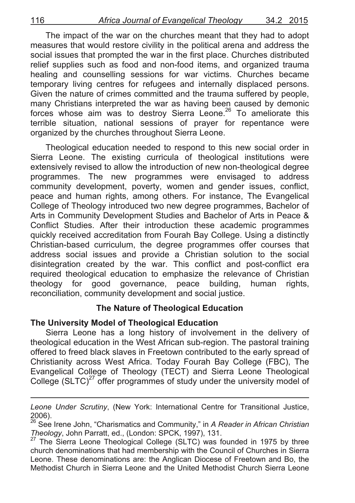The impact of the war on the churches meant that they had to adopt measures that would restore civility in the political arena and address the social issues that prompted the war in the first place. Churches distributed relief supplies such as food and non-food items, and organized trauma healing and counselling sessions for war victims. Churches became temporary living centres for refugees and internally displaced persons. Given the nature of crimes committed and the trauma suffered by people, many Christians interpreted the war as having been caused by demonic forces whose aim was to destroy Sierra Leone.<sup>26</sup> To ameliorate this terrible situation, national sessions of prayer for repentance were organized by the churches throughout Sierra Leone.

Theological education needed to respond to this new social order in Sierra Leone. The existing curricula of theological institutions were extensively revised to allow the introduction of new non-theological degree programmes. The new programmes were envisaged to address community development, poverty, women and gender issues, conflict, peace and human rights, among others. For instance, The Evangelical College of Theology introduced two new degree programmes, Bachelor of Arts in Community Development Studies and Bachelor of Arts in Peace & Conflict Studies. After their introduction these academic programmes quickly received accreditation from Fourah Bay College. Using a distinctly Christian-based curriculum, the degree programmes offer courses that address social issues and provide a Christian solution to the social disintegration created by the war. This conflict and post-conflict era required theological education to emphasize the relevance of Christian theology for good governance, peace building, human rights, reconciliation, community development and social justice.

#### **The Nature of Theological Education**

#### **The University Model of Theological Education**

Sierra Leone has a long history of involvement in the delivery of theological education in the West African sub-region. The pastoral training offered to freed black slaves in Freetown contributed to the early spread of Christianity across West Africa. Today Fourah Bay College (FBC), The Evangelical College of Theology (TECT) and Sierra Leone Theological College (SLTC) $27$  offer programmes of study under the university model of

<sup>!!!!!!!!!!!!!!!!!!!!!!!!!!!!!!!!!!!!!!!!!!!!!!!!!!!!!!!!!!!!!!!!!!!!!!!!!!!!!!!!!!!!!!!!!!!!!!!!!!!!!!!!!!!!!!!!!!!!!!!!!!!!!!!!!!!!!!!</sup> *Leone Under Scrutiny*, (New York: International Centre for Transitional Justice, 2006).

<sup>26</sup> See Irene John, "Charismatics and Community," in *A Reader in African Christian Theology*, John Parratt, ed., (London: SPCK, 1997), 131.<br><sup>27</sup> The Sierra Leone Theological College (SLTC) was founded in 1975 by three

church denominations that had membership with the Council of Churches in Sierra Leone. These denominations are: the Anglican Diocese of Freetown and Bo, the Methodist Church in Sierra Leone and the United Methodist Church Sierra Leone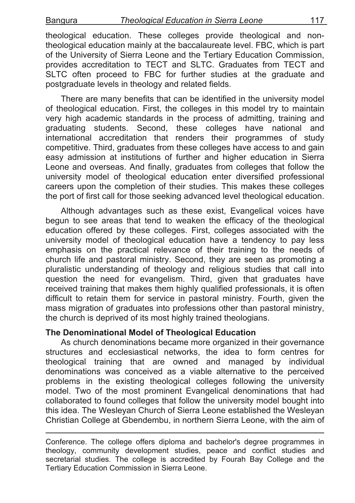theological education. These colleges provide theological and nontheological education mainly at the baccalaureate level. FBC, which is part of the University of Sierra Leone and the Tertiary Education Commission, provides accreditation to TECT and SLTC. Graduates from TECT and SLTC often proceed to FBC for further studies at the graduate and postgraduate levels in theology and related fields.

There are many benefits that can be identified in the university model of theological education. First, the colleges in this model try to maintain very high academic standards in the process of admitting, training and graduating students. Second, these colleges have national and international accreditation that renders their programmes of study competitive. Third, graduates from these colleges have access to and gain easy admission at institutions of further and higher education in Sierra Leone and overseas. And finally, graduates from colleges that follow the university model of theological education enter diversified professional careers upon the completion of their studies. This makes these colleges the port of first call for those seeking advanced level theological education.

Although advantages such as these exist, Evangelical voices have begun to see areas that tend to weaken the efficacy of the theological education offered by these colleges. First, colleges associated with the university model of theological education have a tendency to pay less emphasis on the practical relevance of their training to the needs of church life and pastoral ministry. Second, they are seen as promoting a pluralistic understanding of theology and religious studies that call into question the need for evangelism. Third, given that graduates have received training that makes them highly qualified professionals, it is often difficult to retain them for service in pastoral ministry. Fourth, given the mass migration of graduates into professions other than pastoral ministry, the church is deprived of its most highly trained theologians.

# **The Denominational Model of Theological Education**

As church denominations became more organized in their governance structures and ecclesiastical networks, the idea to form centres for theological training that are owned and managed by individual denominations was conceived as a viable alternative to the perceived problems in the existing theological colleges following the university model. Two of the most prominent Evangelical denominations that had collaborated to found colleges that follow the university model bought into this idea. The Wesleyan Church of Sierra Leone established the Wesleyan Christian College at Gbendembu, in northern Sierra Leone, with the aim of

Conference. The college offers diploma and bachelor's degree programmes in theology, community development studies, peace and conflict studies and secretarial studies. The college is accredited by Fourah Bay College and the Tertiary Education Commission in Sierra Leone.

!!!!!!!!!!!!!!!!!!!!!!!!!!!!!!!!!!!!!!!!!!!!!!!!!!!!!!!!!!!!!!!!!!!!!!!!!!!!!!!!!!!!!!!!!!!!!!!!!!!!!!!!!!!!!!!!!!!!!!!!!!!!!!!!!!!!!!!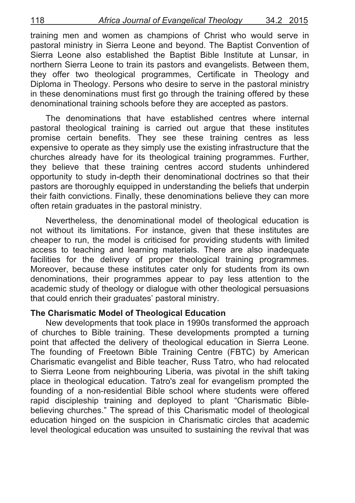training men and women as champions of Christ who would serve in pastoral ministry in Sierra Leone and beyond. The Baptist Convention of Sierra Leone also established the Baptist Bible Institute at Lunsar, in northern Sierra Leone to train its pastors and evangelists. Between them, they offer two theological programmes, Certificate in Theology and Diploma in Theology. Persons who desire to serve in the pastoral ministry in these denominations must first go through the training offered by these denominational training schools before they are accepted as pastors.

The denominations that have established centres where internal pastoral theological training is carried out argue that these institutes promise certain benefits. They see these training centres as less expensive to operate as they simply use the existing infrastructure that the churches already have for its theological training programmes. Further, they believe that these training centres accord students unhindered opportunity to study in-depth their denominational doctrines so that their pastors are thoroughly equipped in understanding the beliefs that underpin their faith convictions. Finally, these denominations believe they can more often retain graduates in the pastoral ministry.

Nevertheless, the denominational model of theological education is not without its limitations. For instance, given that these institutes are cheaper to run, the model is criticised for providing students with limited access to teaching and learning materials. There are also inadequate facilities for the delivery of proper theological training programmes. Moreover, because these institutes cater only for students from its own denominations, their programmes appear to pay less attention to the academic study of theology or dialogue with other theological persuasions that could enrich their graduates' pastoral ministry.

#### **The Charismatic Model of Theological Education**

New developments that took place in 1990s transformed the approach of churches to Bible training. These developments prompted a turning point that affected the delivery of theological education in Sierra Leone. The founding of Freetown Bible Training Centre (FBTC) by American Charismatic evangelist and Bible teacher, Russ Tatro, who had relocated to Sierra Leone from neighbouring Liberia, was pivotal in the shift taking place in theological education. Tatro's zeal for evangelism prompted the founding of a non-residential Bible school where students were offered rapid discipleship training and deployed to plant "Charismatic Biblebelieving churches." The spread of this Charismatic model of theological education hinged on the suspicion in Charismatic circles that academic level theological education was unsuited to sustaining the revival that was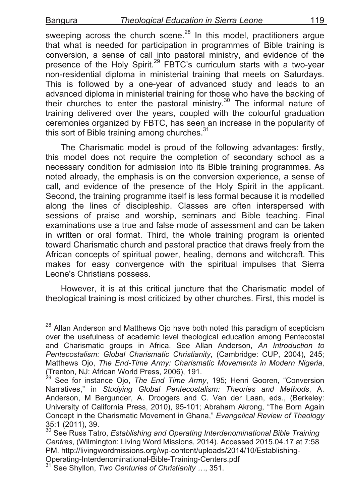sweeping across the church scene.<sup>28</sup> In this model, practitioners argue that what is needed for participation in programmes of Bible training is conversion, a sense of call into pastoral ministry, and evidence of the presence of the Holy Spirit.<sup>29</sup> FBTC's curriculum starts with a two-year non-residential diploma in ministerial training that meets on Saturdays. This is followed by a one-year of advanced study and leads to an advanced diploma in ministerial training for those who have the backing of their churches to enter the pastoral ministry.<sup>30</sup> The informal nature of training delivered over the years, coupled with the colourful graduation ceremonies organized by FBTC, has seen an increase in the popularity of this sort of Bible training among churches.<sup>31</sup>

The Charismatic model is proud of the following advantages: firstly, this model does not require the completion of secondary school as a necessary condition for admission into its Bible training programmes. As noted already, the emphasis is on the conversion experience, a sense of call, and evidence of the presence of the Holy Spirit in the applicant. Second, the training programme itself is less formal because it is modelled along the lines of discipleship. Classes are often interspersed with sessions of praise and worship, seminars and Bible teaching. Final examinations use a true and false mode of assessment and can be taken in written or oral format. Third, the whole training program is oriented toward Charismatic church and pastoral practice that draws freely from the African concepts of spiritual power, healing, demons and witchcraft. This makes for easy convergence with the spiritual impulses that Sierra Leone's Christians possess.

However, it is at this critical juncture that the Charismatic model of theological training is most criticized by other churches. First, this model is

<sup>&</sup>lt;sup>28</sup> Allan Anderson and Matthews Ojo have both noted this paradigm of scepticism over the usefulness of academic level theological education among Pentecostal and Charismatic groups in Africa. See Allan Anderson, *An Introduction to Pentecostalism: Global Charismatic Christianity*, (Cambridge: CUP, 2004), 245; Matthews Ojo, *The End-Time Army: Charismatic Movements in Modern Nigeria*, (Trenton, NJ: African World Press, 2006), 191.

See for instance Ojo, *The End Time Army*, 195; Henri Gooren, "Conversion Narratives," in *Studying Global Pentecostalism: Theories and Methods*, A. Anderson, M Bergunder, A. Droogers and C. Van der Laan, eds., (Berkeley: University of California Press, 2010), 95-101; Abraham Akrong, "The Born Again Concept in the Charismatic Movement in Ghana," *Evangelical Review of Theology* 35:1 (2011), 39.

<sup>30</sup> See Russ Tatro, *Establishing and Operating Interdenominational Bible Training Centres*, (Wilmington: Living Word Missions, 2014). Accessed 2015.04.17 at 7:58 PM. http://livingwordmissions.org/wp-content/uploads/2014/10/Establishing-Operating-Interdenominational-Bible-Training-Centers.pdf <sup>31</sup> See Shyllon, *Two Centuries of Christianity ...*, 351.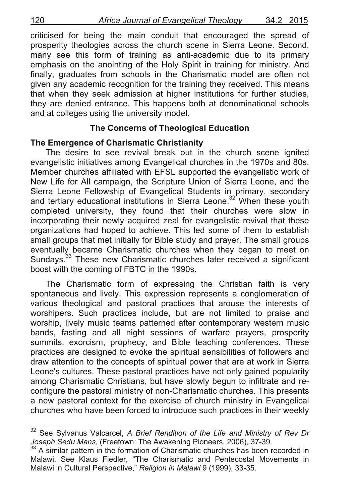criticised for being the main conduit that encouraged the spread of prosperity theologies across the church scene in Sierra Leone. Second, many see this form of training as anti-academic due to its primary emphasis on the anointing of the Holy Spirit in training for ministry. And finally, graduates from schools in the Charismatic model are often not given any academic recognition for the training they received. This means that when they seek admission at higher institutions for further studies, they are denied entrance. This happens both at denominational schools and at colleges using the university model.

#### **The Concerns of Theological Education**

#### **The Emergence of Charismatic Christianity**

The desire to see revival break out in the church scene ignited evangelistic initiatives among Evangelical churches in the 1970s and 80s. Member churches affiliated with EFSL supported the evangelistic work of New Life for All campaign, the Scripture Union of Sierra Leone, and the Sierra Leone Fellowship of Evangelical Students in primary, secondary and tertiary educational institutions in Sierra Leone.<sup>32</sup> When these youth completed university, they found that their churches were slow in incorporating their newly acquired zeal for evangelistic revival that these organizations had hoped to achieve. This led some of them to establish small groups that met initially for Bible study and prayer. The small groups eventually became Charismatic churches when they began to meet on Sundays.<sup>33</sup> These new Charismatic churches later received a significant boost with the coming of FBTC in the 1990s.

The Charismatic form of expressing the Christian faith is very spontaneous and lively. This expression represents a conglomeration of various theological and pastoral practices that arouse the interests of worshipers. Such practices include, but are not limited to praise and worship, lively music teams patterned after contemporary western music bands, fasting and all night sessions of warfare prayers, prosperity summits, exorcism, prophecy, and Bible teaching conferences. These practices are designed to evoke the spiritual sensibilities of followers and draw attention to the concepts of spiritual power that are at work in Sierra Leone's cultures. These pastoral practices have not only gained popularity among Charismatic Christians, but have slowly begun to infiltrate and reconfigure the pastoral ministry of non-Charismatic churches. This presents a new pastoral context for the exercise of church ministry in Evangelical churches who have been forced to introduce such practices in their weekly

See Sylvanus Valcarcel, *A Brief Rendition of the Life and Ministry of Rev Dr Joseph Sedu Mans*, (Freetown: The Awakening Pioneers, 2006), 37-39.<br><sup>33</sup> A similar pattern in the formation of Charismatic churches has been recorded in

Malawi. See Klaus Fiedler, "The Charismatic and Pentecostal Movements in Malawi in Cultural Perspective," *Religion in Malawi* 9 (1999), 33-35.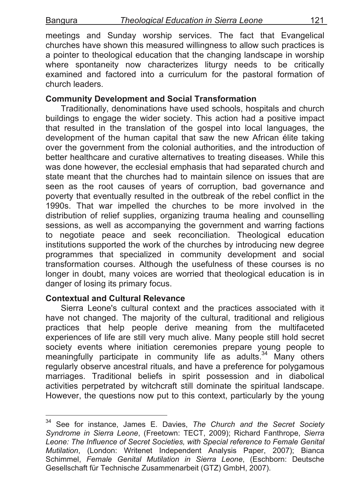meetings and Sunday worship services. The fact that Evangelical churches have shown this measured willingness to allow such practices is a pointer to theological education that the changing landscape in worship where spontaneity now characterizes liturgy needs to be critically examined and factored into a curriculum for the pastoral formation of church leaders.

### **Community Development and Social Transformation**

Traditionally, denominations have used schools, hospitals and church buildings to engage the wider society. This action had a positive impact that resulted in the translation of the gospel into local languages, the development of the human capital that saw the new African élite taking over the government from the colonial authorities, and the introduction of better healthcare and curative alternatives to treating diseases. While this was done however, the ecclesial emphasis that had separated church and state meant that the churches had to maintain silence on issues that are seen as the root causes of years of corruption, bad governance and poverty that eventually resulted in the outbreak of the rebel conflict in the 1990s. That war impelled the churches to be more involved in the distribution of relief supplies, organizing trauma healing and counselling sessions, as well as accompanying the government and warring factions to negotiate peace and seek reconciliation. Theological education institutions supported the work of the churches by introducing new degree programmes that specialized in community development and social transformation courses. Although the usefulness of these courses is no longer in doubt, many voices are worried that theological education is in danger of losing its primary focus.

#### **Contextual and Cultural Relevance**

Sierra Leone's cultural context and the practices associated with it have not changed. The majority of the cultural, traditional and religious practices that help people derive meaning from the multifaceted experiences of life are still very much alive. Many people still hold secret society events where initiation ceremonies prepare young people to meaningfully participate in community life as adults.<sup>34</sup> Many others regularly observe ancestral rituals, and have a preference for polygamous marriages. Traditional beliefs in spirit possession and in diabolical activities perpetrated by witchcraft still dominate the spiritual landscape. However, the questions now put to this context, particularly by the young

<sup>&</sup>lt;sup>34</sup> See for instance, James E. Davies, The Church and the Secret Society *Syndrome in Sierra Leone*, (Freetown: TECT, 2009); Richard Fanthrope, *Sierra*  Leone: The Influence of Secret Societies, with Special reference to Female Genital *Mutilation*, (London: Writenet Independent Analysis Paper, 2007); Bianca Schimmel, *Female Genital Mutilation in Sierra Leone*, (Eschborn: Deutsche Gesellschaft für Technische Zusammenarbeit (GTZ) GmbH, 2007).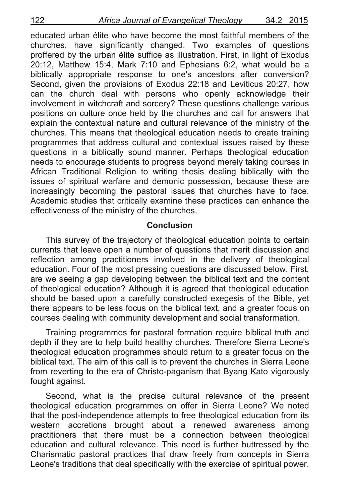educated urban élite who have become the most faithful members of the churches, have significantly changed. Two examples of questions proffered by the urban élite suffice as illustration. First, in light of Exodus 20:12, Matthew 15:4, Mark 7:10 and Ephesians 6:2, what would be a biblically appropriate response to one's ancestors after conversion? Second, given the provisions of Exodus 22:18 and Leviticus 20:27, how can the church deal with persons who openly acknowledge their involvement in witchcraft and sorcery? These questions challenge various positions on culture once held by the churches and call for answers that explain the contextual nature and cultural relevance of the ministry of the churches. This means that theological education needs to create training programmes that address cultural and contextual issues raised by these questions in a biblically sound manner. Perhaps theological education needs to encourage students to progress beyond merely taking courses in African Traditional Religion to writing thesis dealing biblically with the issues of spiritual warfare and demonic possession, because these are increasingly becoming the pastoral issues that churches have to face. Academic studies that critically examine these practices can enhance the effectiveness of the ministry of the churches.

#### **Conclusion**

This survey of the trajectory of theological education points to certain currents that leave open a number of questions that merit discussion and reflection among practitioners involved in the delivery of theological education. Four of the most pressing questions are discussed below. First, are we seeing a gap developing between the biblical text and the content of theological education? Although it is agreed that theological education should be based upon a carefully constructed exegesis of the Bible, yet there appears to be less focus on the biblical text, and a greater focus on courses dealing with community development and social transformation.

Training programmes for pastoral formation require biblical truth and depth if they are to help build healthy churches. Therefore Sierra Leone's theological education programmes should return to a greater focus on the biblical text. The aim of this call is to prevent the churches in Sierra Leone from reverting to the era of Christo-paganism that Byang Kato vigorously fought against.

Second, what is the precise cultural relevance of the present theological education programmes on offer in Sierra Leone? We noted that the post-independence attempts to free theological education from its western accretions brought about a renewed awareness among practitioners that there must be a connection between theological education and cultural relevance. This need is further buttressed by the Charismatic pastoral practices that draw freely from concepts in Sierra Leone's traditions that deal specifically with the exercise of spiritual power.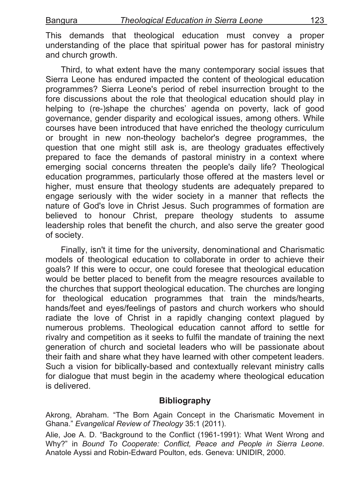This demands that theological education must convey a proper understanding of the place that spiritual power has for pastoral ministry and church growth.

Third, to what extent have the many contemporary social issues that Sierra Leone has endured impacted the content of theological education programmes? Sierra Leone's period of rebel insurrection brought to the fore discussions about the role that theological education should play in helping to (re-)shape the churches' agenda on poverty, lack of good governance, gender disparity and ecological issues, among others. While courses have been introduced that have enriched the theology curriculum or brought in new non-theology bachelor's degree programmes, the question that one might still ask is, are theology graduates effectively prepared to face the demands of pastoral ministry in a context where emerging social concerns threaten the people's daily life? Theological education programmes, particularly those offered at the masters level or higher, must ensure that theology students are adequately prepared to engage seriously with the wider society in a manner that reflects the nature of God's love in Christ Jesus. Such programmes of formation are believed to honour Christ, prepare theology students to assume leadership roles that benefit the church, and also serve the greater good of society.

Finally, isn't it time for the university, denominational and Charismatic models of theological education to collaborate in order to achieve their goals? If this were to occur, one could foresee that theological education would be better placed to benefit from the meagre resources available to the churches that support theological education. The churches are longing for theological education programmes that train the minds/hearts, hands/feet and eyes/feelings of pastors and church workers who should radiate the love of Christ in a rapidly changing context plagued by numerous problems. Theological education cannot afford to settle for rivalry and competition as it seeks to fulfil the mandate of training the next generation of church and societal leaders who will be passionate about their faith and share what they have learned with other competent leaders. Such a vision for biblically-based and contextually relevant ministry calls for dialogue that must begin in the academy where theological education is delivered.

# **Bibliography**

Akrong, Abraham. "The Born Again Concept in the Charismatic Movement in Ghana." *Evangelical Review of Theology* 35:1 (2011).

Alie, Joe A. D. "Background to the Conflict (1961-1991): What Went Wrong and Why?" in *Bound To Cooperate: Conflict, Peace and People in Sierra Leone*. Anatole Ayssi and Robin-Edward Poulton, eds. Geneva: UNIDIR, 2000.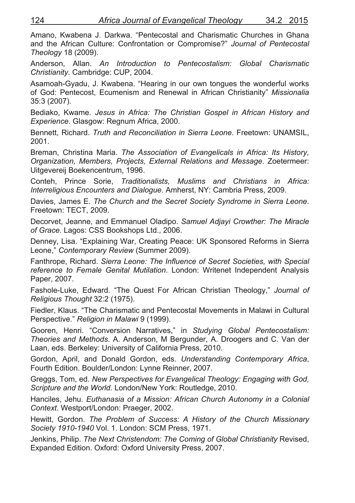Amano, Kwabena J. Darkwa. "Pentecostal and Charismatic Churches in Ghana and the African Culture: Confrontation or Compromise?" *Journal of Pentecostal Theology* 18 (2009).

Anderson, Allan. *An Introduction to Pentecostalism: Global Charismatic Christianity*. Cambridge: CUP, 2004.

Asamoah-Gyadu, J. Kwabena. "Hearing in our own tongues the wonderful works of God: Pentecost, Ecumenism and Renewal in African Christianity" *Missionalia* 35:3 (2007).

Bediako, Kwame. *Jesus in Africa: The Christian Gospel in African History and Experience*. Glasgow: Regnum Africa, 2000.

Bennett, Richard. *Truth and Reconciliation in Sierra Leone*. Freetown: UNAMSIL, 2001.

Breman, Christina Maria. *The Association of Evangelicals in Africa: Its History, Organization, Members, Projects, External Relations and Message*. Zoetermeer: Uitgevereij Boekencentrum, 1996.

Conteh, Prince Sorie, *Traditionalists, Muslims and Christians in Africa: Interreligious Encounters and Dialogue*. Amherst, NY: Cambria Press, 2009.

Davies, James E. *The Church and the Secret Society Syndrome in Sierra Leone*. Freetown: TECT, 2009.

Decorvet, Jeanne, and Emmanuel Oladipo. *Samuel Adjayi Crowther: The Miracle of Grace*. Lagos: CSS Bookshops Ltd., 2006.

Denney, Lisa. "Explaining War, Creating Peace: UK Sponsored Reforms in Sierra Leone," *Contemporary Review* (Summer 2009).

Fanthrope, Richard. *Sierra Leone: The Influence of Secret Societies, with Special reference to Female Genital Mutilation*. London: Writenet Independent Analysis Paper, 2007.

Fashole-Luke, Edward. "The Quest For African Christian Theology," *Journal of Religious Thought* 32:2 (1975).

Fiedler, Klaus. "The Charismatic and Pentecostal Movements in Malawi in Cultural Perspective." *Religion in Malawi* 9 (1999).

Gooren, Henri. "Conversion Narratives," in *Studying Global Pentecostalism: Theories and Methods*. A. Anderson, M Bergunder, A. Droogers and C. Van der Laan, eds. Berkeley: University of California Press, 2010.

Gordon, April, and Donald Gordon, eds. *Understanding Contemporary Africa*, Fourth Edition. Boulder/London: Lynne Reinner, 2007.

Greggs, Tom, ed. *New Perspectives for Evangelical Theology: Engaging with God, Scripture and the World*. London/New York: Routledge, 2010.

Hanciles, Jehu. *Euthanasia of a Mission: African Church Autonomy in a Colonial Context*. Westport/London: Praeger, 2002.

Hewitt, Gordon. *The Problem of Success: A History of the Church Missionary Society 1910-1940* Vol. 1. London: SCM Press, 1971.

Jenkins, Philip. *The Next Christendom: The Coming of Global Christianity* Revised, Expanded Edition. Oxford: Oxford University Press, 2007.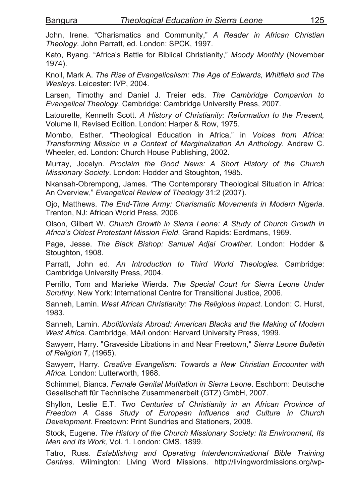John, Irene. "Charismatics and Community," *A Reader in African Christian Theology*. John Parratt, ed. London: SPCK, 1997.

Kato, Byang. "Africa's Battle for Biblical Christianity," *Moody Monthly* (November 1974).

Knoll, Mark A. *The Rise of Evangelicalism: The Age of Edwards, Whitfield and The Wesleys.* Leicester: IVP, 2004.

Larsen, Timothy and Daniel J. Treier eds. *The Cambridge Companion to Evangelical Theology*. Cambridge: Cambridge University Press, 2007.

Latourette, Kenneth Scott. *A History of Christianity: Reformation to the Present,* Volume II, Revised Edition. London: Harper & Row, 1975.

Mombo, Esther. "Theological Education in Africa," in *Voices from Africa: Transforming Mission in a Context of Marginalization An Anthology*. Andrew C. Wheeler, ed. London: Church House Publishing, 2002.

Murray, Jocelyn. *Proclaim the Good News: A Short History of the Church Missionary Society*. London: Hodder and Stoughton, 1985.

Nkansah-Obrempong, James. "The Contemporary Theological Situation in Africa: An Overview," *Evangelical Review of Theology* 31:2 (2007).

Ojo, Matthews. *The End-Time Army: Charismatic Movements in Modern Nigeria*. Trenton, NJ: African World Press, 2006.

Olson, Gilbert W. *Church Growth in Sierra Leone: A Study of Church Growth in Africa's Oldest Protestant Mission Field*. Grand Rapids: Eerdmans, 1969.

Page, Jesse. *The Black Bishop: Samuel Adjai Crowther*. London: Hodder & Stoughton, 1908.

Parratt, John ed. *An Introduction to Third World Theologies*. Cambridge: Cambridge University Press, 2004.

Perrillo, Tom and Marieke Wierda. *The Special Court for Sierra Leone Under Scrutiny*. New York: International Centre for Transitional Justice, 2006.

Sanneh, Lamin. *West African Christianity: The Religious Impact*. London: C. Hurst, 1983.

Sanneh, Lamin. *Abolitionists Abroad: American Blacks and the Making of Modern West Africa*. Cambridge, MA/London: Harvard University Press, 1999.

Sawyerr, Harry. "Graveside Libations in and Near Freetown," *Sierra Leone Bulletin of Religion* 7, (1965).

Sawyerr, Harry. *Creative Evangelism: Towards a New Christian Encounter with Africa.* London: Lutterworth, 1968.

Schimmel, Bianca. *Female Genital Mutilation in Sierra Leone*. Eschborn: Deutsche Gesellschaft für Technische Zusammenarbeit (GTZ) GmbH, 2007.

Shyllon, Leslie E.T. *Two Centuries of Christianity in an African Province of Freedom A Case Study of European Influence and Culture in Church Development.* Freetown: Print Sundries and Stationers, 2008.

Stock, Eugene. *The History of the Church Missionary Society: Its Environment, Its Men and Its Work,* Vol. 1. London: CMS, 1899.

Tatro, Russ. *Establishing and Operating Interdenominational Bible Training Centres*. Wilmington: Living Word Missions. http://livingwordmissions.org/wp